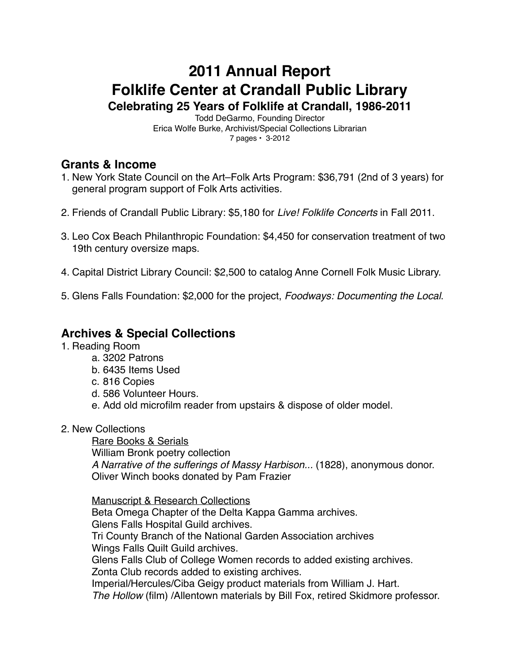# **2011 Annual Report Folklife Center at Crandall Public Library Celebrating 25 Years of Folklife at Crandall, 1986-2011**

Todd DeGarmo, Founding Director Erica Wolfe Burke, Archivist/Special Collections Librarian 7 pages • 3-2012

# **Grants & Income**

- 1. New York State Council on the Art–Folk Arts Program: \$36,791 (2nd of 3 years) for general program support of Folk Arts activities.
- 2. Friends of Crandall Public Library: \$5,180 for *Live! Folklife Concerts* in Fall 2011.
- 3. Leo Cox Beach Philanthropic Foundation: \$4,450 for conservation treatment of two 19th century oversize maps.
- 4. Capital District Library Council: \$2,500 to catalog Anne Cornell Folk Music Library.
- 5. Glens Falls Foundation: \$2,000 for the project, *Foodways: Documenting the Local*.

### **Archives & Special Collections**

- 1. Reading Room
	- a. 3202 Patrons
	- b. 6435 Items Used
	- c. 816 Copies
	- d. 586 Volunteer Hours.
	- e. Add old microfilm reader from upstairs & dispose of older model.
- 2. New Collections

Rare Books & Serials William Bronk poetry collection *A Narrative of the sufferings of Massy Harbison...* (1828), anonymous donor. Oliver Winch books donated by Pam Frazier

Manuscript & Research Collections Beta Omega Chapter of the Delta Kappa Gamma archives. Glens Falls Hospital Guild archives. Tri County Branch of the National Garden Association archives Wings Falls Quilt Guild archives. Glens Falls Club of College Women records to added existing archives. Zonta Club records added to existing archives. Imperial/Hercules/Ciba Geigy product materials from William J. Hart. *The Hollow* (film) /Allentown materials by Bill Fox, retired Skidmore professor.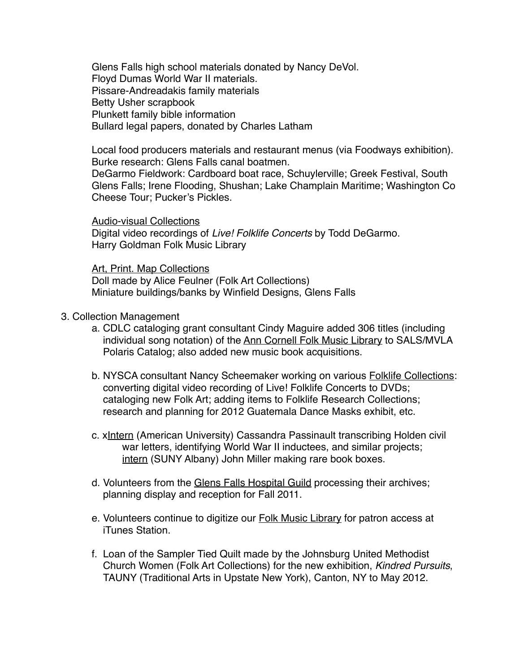Glens Falls high school materials donated by Nancy DeVol. Floyd Dumas World War II materials. Pissare-Andreadakis family materials Betty Usher scrapbook Plunkett family bible information Bullard legal papers, donated by Charles Latham

Local food producers materials and restaurant menus (via Foodways exhibition). Burke research: Glens Falls canal boatmen.

DeGarmo Fieldwork: Cardboard boat race, Schuylerville; Greek Festival, South Glens Falls; Irene Flooding, Shushan; Lake Champlain Maritime; Washington Co Cheese Tour; Pucker's Pickles.

Audio-visual Collections Digital video recordings of *Live! Folklife Concerts* by Todd DeGarmo. Harry Goldman Folk Music Library

Art, Print. Map Collections Doll made by Alice Feulner (Folk Art Collections) Miniature buildings/banks by Winfield Designs, Glens Falls

- 3. Collection Management
	- a. CDLC cataloging grant consultant Cindy Maguire added 306 titles (including individual song notation) of the Ann Cornell Folk Music Library to SALS/MVLA Polaris Catalog; also added new music book acquisitions.
	- b. NYSCA consultant Nancy Scheemaker working on various Folklife Collections: converting digital video recording of Live! Folklife Concerts to DVDs; cataloging new Folk Art; adding items to Folklife Research Collections; research and planning for 2012 Guatemala Dance Masks exhibit, etc.
	- c. xIntern (American University) Cassandra Passinault transcribing Holden civil war letters, identifying World War II inductees, and similar projects; intern (SUNY Albany) John Miller making rare book boxes.
	- d. Volunteers from the Glens Falls Hospital Guild processing their archives; planning display and reception for Fall 2011.
	- e. Volunteers continue to digitize our Folk Music Library for patron access at iTunes Station.
	- f. Loan of the Sampler Tied Quilt made by the Johnsburg United Methodist Church Women (Folk Art Collections) for the new exhibition, *Kindred Pursuits*, TAUNY (Traditional Arts in Upstate New York), Canton, NY to May 2012.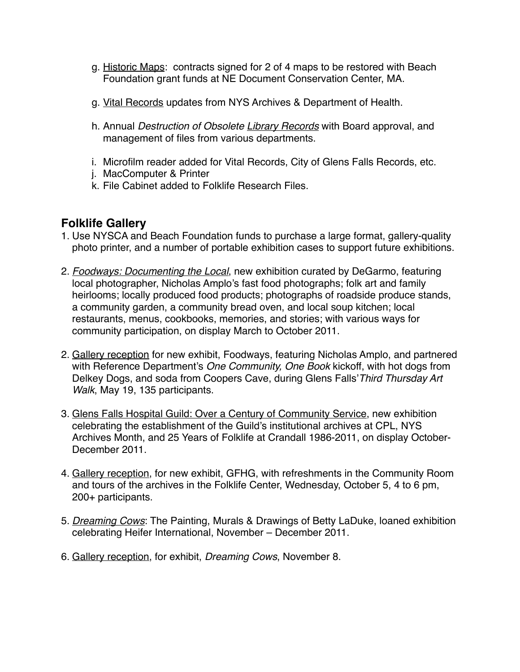- g. Historic Maps: contracts signed for 2 of 4 maps to be restored with Beach Foundation grant funds at NE Document Conservation Center, MA.
- g. Vital Records updates from NYS Archives & Department of Health.
- h. Annual *Destruction of Obsolete Library Records* with Board approval, and management of files from various departments.
- i. Microfilm reader added for Vital Records, City of Glens Falls Records, etc.
- j. MacComputer & Printer
- k. File Cabinet added to Folklife Research Files.

#### **Folklife Gallery**

- 1. Use NYSCA and Beach Foundation funds to purchase a large format, gallery-quality photo printer, and a number of portable exhibition cases to support future exhibitions.
- 2. *Foodways: Documenting the Local*, new exhibition curated by DeGarmo, featuring local photographer, Nicholas Amplo's fast food photographs; folk art and family heirlooms; locally produced food products; photographs of roadside produce stands, a community garden, a community bread oven, and local soup kitchen; local restaurants, menus, cookbooks, memories, and stories; with various ways for community participation, on display March to October 2011.
- 2. Gallery reception for new exhibit, Foodways, featuring Nicholas Amplo, and partnered with Reference Department's *One Community, One Book* kickoff, with hot dogs from Delkey Dogs, and soda from Coopers Cave, during Glens Falls'*Third Thursday Art Walk*, May 19, 135 participants.
- 3. Glens Falls Hospital Guild: Over a Century of Community Service, new exhibition celebrating the establishment of the Guild's institutional archives at CPL, NYS Archives Month, and 25 Years of Folklife at Crandall 1986-2011, on display October-December 2011.
- 4. Gallery reception, for new exhibit, GFHG, with refreshments in the Community Room and tours of the archives in the Folklife Center, Wednesday, October 5, 4 to 6 pm, 200+ participants.
- 5. *Dreaming Cows*: The Painting, Murals & Drawings of Betty LaDuke, loaned exhibition celebrating Heifer International, November – December 2011.
- 6. Gallery reception, for exhibit, *Dreaming Cows*, November 8.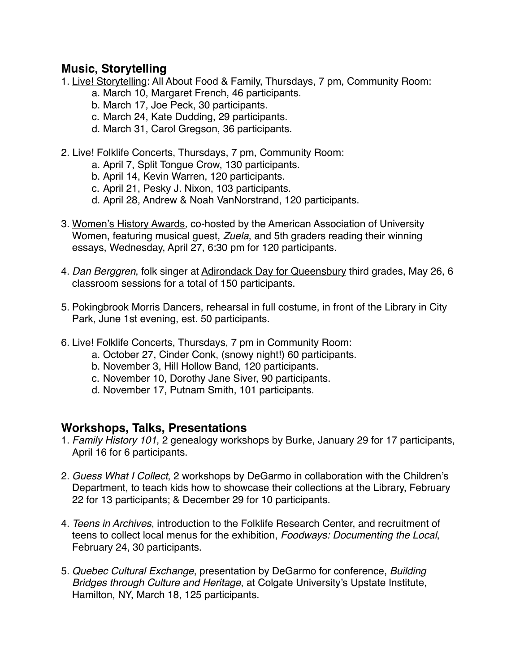## **Music, Storytelling**

- 1. Live! Storytelling: All About Food & Family, Thursdays, 7 pm, Community Room:
	- a. March 10, Margaret French, 46 participants.
	- b. March 17, Joe Peck, 30 participants.
	- c. March 24, Kate Dudding, 29 participants.
	- d. March 31, Carol Gregson, 36 participants.
- 2. Live! Folklife Concerts, Thursdays, 7 pm, Community Room:
	- a. April 7, Split Tongue Crow, 130 participants.
	- b. April 14, Kevin Warren, 120 participants.
	- c. April 21, Pesky J. Nixon, 103 participants.
	- d. April 28, Andrew & Noah VanNorstrand, 120 participants.
- 3. Women's History Awards*,* co-hosted by the American Association of University Women, featuring musical guest, *Zuela*, and 5th graders reading their winning essays, Wednesday, April 27, 6:30 pm for 120 participants.
- 4. *Dan Berggren*, folk singer at Adirondack Day for Queensbury third grades, May 26, 6 classroom sessions for a total of 150 participants.
- 5. Pokingbrook Morris Dancers, rehearsal in full costume, in front of the Library in City Park, June 1st evening, est. 50 participants.
- 6. Live! Folklife Concerts, Thursdays, 7 pm in Community Room:
	- a. October 27, Cinder Conk, (snowy night!) 60 participants.
	- b. November 3, Hill Hollow Band, 120 participants.
	- c. November 10, Dorothy Jane Siver, 90 participants.
	- d. November 17, Putnam Smith, 101 participants.

#### **Workshops, Talks, Presentations**

- 1. *Family History 101*, 2 genealogy workshops by Burke, January 29 for 17 participants, April 16 for 6 participants.
- 2. *Guess What I Collect*, 2 workshops by DeGarmo in collaboration with the Children's Department, to teach kids how to showcase their collections at the Library, February 22 for 13 participants; & December 29 for 10 participants.
- 4. *Teens in Archives*, introduction to the Folklife Research Center, and recruitment of teens to collect local menus for the exhibition, *Foodways: Documenting the Local*, February 24, 30 participants.
- 5. *Quebec Cultural Exchange*, presentation by DeGarmo for conference, *Building Bridges through Culture and Heritage*, at Colgate University's Upstate Institute, Hamilton, NY, March 18, 125 participants.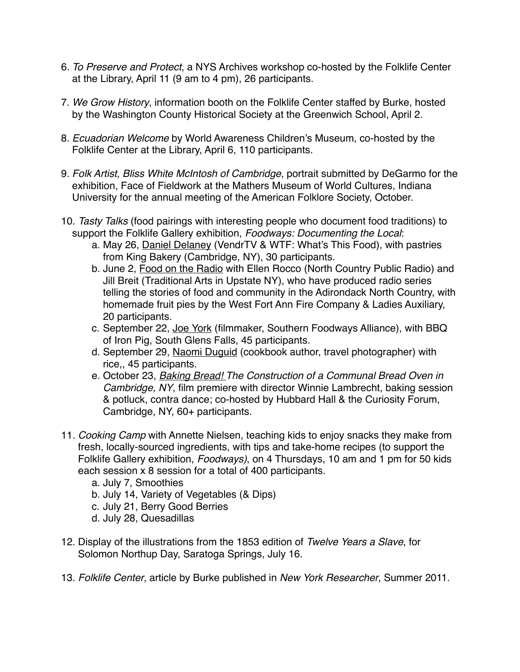- 6. *To Preserve and Protect*, a NYS Archives workshop co-hosted by the Folklife Center at the Library, April 11 (9 am to 4 pm), 26 participants.
- 7. *We Grow History*, information booth on the Folklife Center staffed by Burke, hosted by the Washington County Historical Society at the Greenwich School, April 2.
- 8. *Ecuadorian Welcome* by World Awareness Children's Museum, co-hosted by the Folklife Center at the Library, April 6, 110 participants.
- 9. *Folk Artist, Bliss White McIntosh of Cambridge*, portrait submitted by DeGarmo for the exhibition, Face of Fieldwork at the Mathers Museum of World Cultures, Indiana University for the annual meeting of the American Folklore Society, October.
- 10. *Tasty Talks* (food pairings with interesting people who document food traditions) to support the Folklife Gallery exhibition, *Foodways: Documenting the Local*:
	- a. May 26, Daniel Delaney (VendrTV & WTF: What's This Food), with pastries from King Bakery (Cambridge, NY), 30 participants.
	- b. June 2, Food on the Radio with Ellen Rocco (North Country Public Radio) and Jill Breit (Traditional Arts in Upstate NY), who have produced radio series telling the stories of food and community in the Adirondack North Country, with homemade fruit pies by the West Fort Ann Fire Company & Ladies Auxiliary, 20 participants.
	- c. September 22, Joe York (filmmaker, Southern Foodways Alliance), with BBQ of Iron Pig, South Glens Falls, 45 participants.
	- d. September 29, Naomi Duguid (cookbook author, travel photographer) with rice,, 45 participants.
	- e. October 23, *Baking Bread! The Construction of a Communal Bread Oven in Cambridge, NY*, film premiere with director Winnie Lambrecht, baking session & potluck, contra dance; co-hosted by Hubbard Hall & the Curiosity Forum, Cambridge, NY, 60+ participants.
- 11. *Cooking Camp* with Annette Nielsen, teaching kids to enjoy snacks they make from fresh, locally-sourced ingredients, with tips and take-home recipes (to support the Folklife Gallery exhibition, *Foodways)*, on 4 Thursdays, 10 am and 1 pm for 50 kids each session x 8 session for a total of 400 participants.
	- a. July 7, Smoothies
	- b. July 14, Variety of Vegetables (& Dips)
	- c. July 21, Berry Good Berries
	- d. July 28, Quesadillas
- 12. Display of the illustrations from the 1853 edition of *Twelve Years a Slave*, for Solomon Northup Day, Saratoga Springs, July 16.
- 13. *Folklife Center*, article by Burke published in *New York Researcher*, Summer 2011.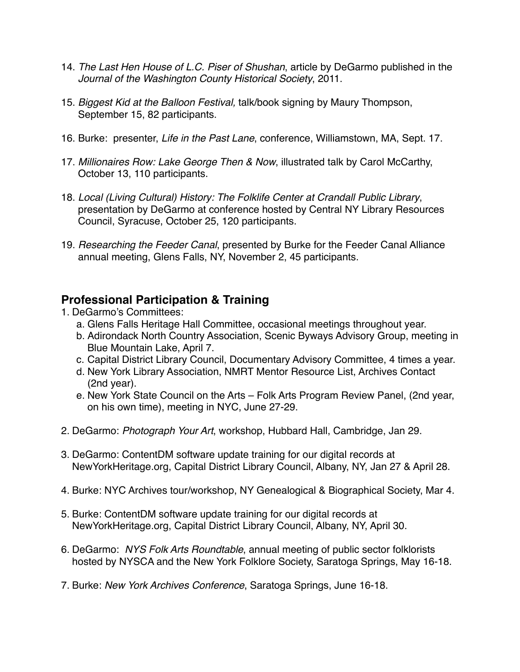- 14. *The Last Hen House of L.C. Piser of Shushan*, article by DeGarmo published in the *Journal of the Washington County Historical Society*, 2011.
- 15. *Biggest Kid at the Balloon Festival,* talk/book signing by Maury Thompson, September 15, 82 participants.
- 16. Burke: presenter, *Life in the Past Lane*, conference, Williamstown, MA, Sept. 17.
- 17. *Millionaires Row: Lake George Then & Now*, illustrated talk by Carol McCarthy, October 13, 110 participants.
- 18. *Local (Living Cultural) History: The Folklife Center at Crandall Public Library*, presentation by DeGarmo at conference hosted by Central NY Library Resources Council, Syracuse, October 25, 120 participants.
- 19. *Researching the Feeder Canal*, presented by Burke for the Feeder Canal Alliance annual meeting, Glens Falls, NY, November 2, 45 participants.

# **Professional Participation & Training**

- 1. DeGarmo's Committees:
	- a. Glens Falls Heritage Hall Committee, occasional meetings throughout year.
	- b. Adirondack North Country Association, Scenic Byways Advisory Group, meeting in Blue Mountain Lake, April 7.
	- c. Capital District Library Council, Documentary Advisory Committee, 4 times a year.
	- d. New York Library Association, NMRT Mentor Resource List, Archives Contact (2nd year).
	- e. New York State Council on the Arts Folk Arts Program Review Panel, (2nd year, on his own time), meeting in NYC, June 27-29.
- 2. DeGarmo: *Photograph Your Art*, workshop, Hubbard Hall, Cambridge, Jan 29.
- 3. DeGarmo: ContentDM software update training for our digital records at NewYorkHeritage.org, Capital District Library Council, Albany, NY, Jan 27 & April 28.
- 4. Burke: NYC Archives tour/workshop, NY Genealogical & Biographical Society, Mar 4.
- 5. Burke: ContentDM software update training for our digital records at NewYorkHeritage.org, Capital District Library Council, Albany, NY, April 30.
- 6. DeGarmo: *NYS Folk Arts Roundtable*, annual meeting of public sector folklorists hosted by NYSCA and the New York Folklore Society, Saratoga Springs, May 16-18.
- 7. Burke: *New York Archives Conference*, Saratoga Springs, June 16-18.